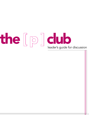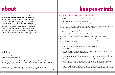

Directed by: Christine Delp Produced by: Wesley Hogan

The [P] Club participants: Nicole Armstrong, Emma DeVries, Heidi Johnson, Lara Musser-Gritter, Jennifer Simonton, Emily Smiley, Casey Stanton, Hana Suckstorff, Alex Treyz, Antonia Terrazas, and Indhira Udofia

Support for this project is provided by the RIPP Fellowship for the Documentary Arts and the Center for Documentary Studies at Duke University

The [P] Club is a short documentary about eleven Duke Divinity women who talk candidly about sex and faith. With grace, humor, and self-reflection, they thoughtfully and courageously tackle a variety of topics related to sex including purity culture, hookup culture, dating, sexual violence, masturbation, feminism, body image, desire, and relationships all through a theological lens. Though they may not always agree or reach all the answers, their stories are a powerful testament to the importance of honest and open conversation about sex among Christians.

### **CREDITS**

• Balance discussion with personal reflection. Some of discussion questions are very personal, and participants may  $\sim$ not always feel comfortable sharing. Keep a stack of index cards on hand for people to write down responses or

# about

• Maintain a safe space by setting some ground rules for discussion. The following are adopted from Dr. Anathea Portier-Young's "Domestic Abuse and the Bible" course syllabus. Dr. Portier-Young is the Associate Professor of

• "Step up and step back": If we usually don't talk much, we will challenge ourselves to speak more. If we find

honesty and vulnerability." The film is a resource for people to open up about their own thoughts on sexuality, so it

• Some of the group will love what the church has taught them about sex, while some will have bitterness. Be sure to

• Be aware of dynamics of privilege and disenfranchisement related to race, ethnicity, carceral status, class, gender identity and expression, sexual orientation, age, particularities of one's life experience, abilities, etc.

• If the content of any discussion is triggering, allow everyone to take care of themselves first. Group participants should know that they are free to step back momentarily or leave entirely from group discussion.

• Personal stories, reactions, or feelings that are shared in discussion should be kept confidential. If anyone with a state of the state of the state of the state of the state of the state of the state of the state of the wishes to incorporate insights shared by a group member in a paper, sermon, or speaking engagement, she must first receive permission from that person and allow that person to view and approve what is written.



- Use The [P] Club documentary as a resource. As Antonia says, "One person's honesty begets another person's beginning is helpful for everyone in the discussion group to have seen it.
- Establish trust in the group. As much as possible, keep the group the same each week. •
- include space for all the voices in the room and let the women teach each other as well.
- Not all the women in the room will be cis-gendered or heterosexual. Please be careful of generalizing everyone's sexual preferences and gender identities.
- questions anonymously. Be open to periods of journaling/reflection if you think that would be helpful.
- Old Testament at Duke Divinity School.
	- Do not interrupt or speak over the person speaking. •
	- Listen with respect and attention, from your heart, to the best of your ability. •
	- Speak in "I" statements rather than in normative "you" statements.
	- ourselves talking more than others, we will speak less.
	-
	- Don't make assumptions about anyone's history of sexual assault or intimate partner violence. •
	-
	-

#### A few important "keep-in-minds" as you facilitate discussion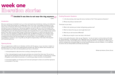# week one liberation stories

### $\Box\Box$  I decided it was time to not wear the ring anymore.  $\Box\Box$

- Lara

#### Introduction

We are so excited you've decided to join us on the road toward sexual wholeness, healing, and celebration. Our time in Pussy Club has been an incredible gift in each of our lives. It has helped us process our own stories, learn to hold each other's stories, and mark out our own sense of what it means to be fully faithful and sexual. As you're starting out in this journey together, we want to offer you a bit of the wisdom that we have gleaned since starting Pussy Club. Sexuality is a "touchy topic" and we invite you to embrace the challenges that come with discussing the God given gift of sexuality. None of us are entitled to hear another person's story. When someone does choose to share some of her story, it is a gift to be held with honor and care—not to be assessed or judged like abstract data. At different times each of us wanted to resist the conversation by shutting others down hard lines and judgments—we challenge you to embrace the complexity and tension that will arise between you and your peers. This time together will not solve any problems or questions—but it may offer you the gift of companionship in the midst of this beautiful and meandering journey.

#### Opening Activity

This is an opportunity to reflect as an individual, and then with the group, on your own story in relation to sexuality, the church, what you were taught growing up about sex, what you believe about sexuality now, how that relates to your faith, and what questions you have on this theme.

1. Invite participants to take some time to writing or drawing their stories.

2. Then invite participants to get into pairs and share one moment from their story. This can be an opportunity for participants to bond with each other on a one-to-one basis. It could bring up rumbles of laughter as some share funny stories or it could bring up deep moments of contemplation.

3. Come back together as a full group and invite each participant to share one word that represents or was present in her story.

#### Guiding Discussion Questions

1. In the documentary, what ways did various members of the P Club experience liberation?

- 
- 2. Whose story did you resonate with?

Think back on your story:

- 3. What is the narrative you've been told growing up about sex?
- 4. What hurt about the way you were taught about sex?
- 5. What do you wish was done differently?
- 6. What do you long for in your own story in the future?

A note on this week's discussion: when we say "liberation," we do not mean to communicate just the idea of "sexual liberation" as popularized in the 1960s (free love, etc.), (though that might be the way you find liberation!), but rather, we are talking about a diversity of ways that all of us—coming from a whole range of opinions, backgrounds, and goals–began to journey toward wholeness, and even freedom, in our identities as women who are wholly faithful and wholly sexual beings.

Written by Antonia, Emma, & Lara

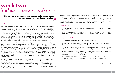# week two bodies: pleasure & shame

### $\mathcal{L}\mathcal{L}$  His words, that we weren't pure enough, really stuck with me. All that intimacy that we shared—was bad? $\frac{7}{77}$

In some Christian circles, we are told that God deeply cares about our bodies and what we do with them specifically when it comes to sexual intimacy. We somehow manage to learn that sexuality is dangerous, that men and women should not be alone together, and that our sexuality is like edible objects (thanks, Lara!), etc. Your group will have their own ideas about what the church thinks about sexuality—and about what God thinks about sexuality. Take note of what the students say; note how many understandings of "Christian sexuality" revolve around what NOT to do and the shaming of what IS done. Many of us grow up with the belief that God dislikes sexuality until we are married—then everything is good to go. Unfortunately, this is not how fear and shame work (check out Brené Brown for this!). They bleed not only into how we see sexuality with each other but how we see sexuality within ourselves. If we are afraid of our own sexual pleasure, marriage alone is not going to redeem pleasure for us, and what about those who feel called to single life? In doing this, we are robbing each other of healthy sexual fulfillment even within marriage.

#### Introduction

You may know that most churches do not talk about sexuality. But we would rather talk to our youth group students, our sisters, and our young cousins about sexuality within the church, rather than letting them figure it out on their own or from untrustworthy sources. We never want our girls to believe that they are as transient as an edible object and we never want our boys to believe that they are unable to control themselves around something as delicious as "cake." The truth is that women's bodies do not have to be scary, and men are able to control themselves. This means that we can experience pleasure. God made pleasure for us to enjoy (safely). Sometimes we think that pleasure is just for fun without repercussions, and sometimes we think it is too dangerous to even try. It is somewhere in the middle. Intimacy is very important, but it is neither so fun that it should be taken lightly, nor so scary that it should be avoided. Practice forgiveness with yourself and your friends and your family. Our bodies are not perfect but can experience incredible joy. Let yourself feel joy in safe spaces.

We would like to suggest that God cares about our bodies—deeply. God created us as bodies, became a human with a body, and then gave us guidelines for how to treat our bodies. However, before that, God commanded us to care for creation. All creation. If we are created by God, then that includes us. We believe that God cares about our whole selves—eating, sleeping, thinking, learning, faith, relationships, family, showering, exercising, and intimacy. If I am going to be with someone—they need to care about all of those aspects of my body if they are going to get near any of it. Intimacy does not exist in a vacuum—it is a part of the whole that is our lives.

I am not any more afraid of intimacy than if I get enough sleep in a night—but this took years of thinking and learning and experiencing. Please talk to your group about how to begin seeing intimacy as more than sex and that the entire body matters It is impossible to be perfect, yet our churches have made the guidelines God has given us for our bodies purely legalistic. With this standard, only our failures matter. The truth is, we will eat badly, forget to exercise, forget to pray, and let hook-ups go too far. These are not failures, and God's love does not depend on being a perfect sexual or nonsexual body, grace abounds.

#### Opening Activity

1. Watch Brené Brown's TedTalk on shame. Ask the group if they think shame is part of the church

2. Ask the group to journal on what they believe or have heard that God and the church thinks about bodies and intimacy. What should we feel good about? What should we feel shame about? What

- experience.
- does pleasure mean to them?

#### Guiding Questions for Discussion

4. Make a list of things that bodies can do. Mark which actions the group thinks God cares about. Is that different from what the "church" cares about? Have you experienced this tension before?

5. Invite the group to share stories about what they think about shame in the film—what did they see different people experiencing? What seemed to be the thing that helped the women heal?

- 3. Define shame and pleasure as a group. (preferably in a visible way)
- 
- 
- lives? Specifically in regard to body-shaming?
- experience of their bodies.

6. Brené Brown talks about shame and the importance of sharing the shame we feel before it gets out of hand and becomes an unhealthy part of our lives. Have any of you seen this happening in your

7. IF YOUR GROUP IS FEELING COURAGEOUS: Please use our #GraceAbounds #PClubDocumentary hashtag to encourage your group to post on social media about where grace abounds in their

Written by Emily & Nicole



- Jen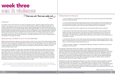# week three sex & violence

## $T\llap/20$  That was evil. That was really evil.  $\eta\eta$

The subject matter of this week can be painful and deeply personal. Statistics suggest that there will be people in your group who are survivors of Intimate Partner Violence (IPV) and/or Sexual Assault (SA). The inverse of that statistic means that among your group might be perpetrators of violence and those who are dual perpetrators and survivors of IPV and SA. IVP and SA negatively affect not only victims and perpetrators, but also witnesses (including children) and those who love and support survivors and perpetrators, including family members and friends. Such individuals are sometimes called "secondary victims/survivors" of IPV or SA. Recognize that there will be secondary survivors among your group as well. There will also be those among your group those who do not have direct or secondary experience of IPV or SA. The experiences of every person in the group are valued.

Give each group member one of the masks. Have them identify the outside and inside of the mask. Have them begin to decorate the outside of the mask with items, which reflect what they think people see when they look at them. You can ask them to think about how their friends see them, or co-workers, or family. Glue images or draw on the mask how they think others see them. When they are done with the outside, have them turn the mask around. Now, have them think about how they see themselves, and decorate the inside of the mask with objects or drawings, which reflect how they see themselves. When done, have the participants talk about how they see themselves, and how others see them, using the masks as visual aids. As facilitator, pay attention to differences between the two sides.<sup>1</sup>

#### Opening Activity: The Mask You Live In: The Two-Sided Mask

Before starting the activity, make sure you have enough "masks" for your group. The masks are paper plates with holes cut out for eyes and string attached to the sides so that the mask may be worn. You will also want to have a number of magazines and other resources, such as yarn, beads, feathers, and other odds and ends as seem appropriate to the group with which you are working. You will need to have markers or crayons, scissors and glue ready as well.

4. Have copies of the Power and Control wheel for the group be able to look at and take home.<sup>2</sup> Explain how rape and sexual assault is not about sex but about power and control. Discuss how not all power and control abuse in relationships is physical or sexual. What are other stories of r elationships in The [P] Club Documentary echoes with areas on the Power and Control wheel that is not physical or sexual?

*"You can't keep your true self hidden forever; before long you'll be exposed. You can't hide behind a*  religious mask forever; sooner or later the mask will slip and your true face will be known. You can't whisper *one thing in private and preach the opposite in public." (Luke 12:3 MSG)*

- Casey

#### **Introduction**

#### Guiding Question for Discussion

1. In your experience, how does the church help, hold, or harm survivors' stories of Intimate Partner Violence and Sexual Assault?

2. In The [P] Club Documentary Casey shares her story of sexual assault and Heidi shared her story of intimate partner violence. How did each of their particular experiences as survivors of IPV and SA intersect with attending church? How were their experiences similar and different?

3. How do you want the church to respond to the very prevalent reality of sexual violence?

5. Connect that discussion to the masks activity. How does hiding or feeling trapped behind a mask lead to inflicting power and control over others? How does hiding or feeling trapped behind a mask lead us to think we deserve abuse inflicted upon us?

6. What are stories in Scripture or Theology (God-talk) that are helpful or harmful for survivors and perpetrators of IPV and SA?

violence in the Bible by looking at David and his raping of Bathsheba. What themes stick out in that story? Who calls David out on his violence? Who does David seek forgiveness from? Hint: Bathsheba does not call out David nor does David seek her to forgive him of his sin. How might this be a healthy or harmful paradigm for forgiveness? The prophet Nathan rebukes David on his sexual violence against Bathsheba. David then seeks forgiveness from God. What are the group's thoughts on Nathan role as a witness to

- For example, harmful texts of terror like Judges 11 and Judges 19 and inappropriate and harmful understanding of Christian forgiveness and reconciliation. Have a discussion around perpetrators of sexual violence? How are his actions helpful or harmful? •
- of forgiveness for survivors of IPV and SA. "Father, forgive them, for they do not know what they are his abusers nor is anyone asking Jesus to forgive the people who crucified him. In these paradigms of is always the direct source of all forgiveness. •



Secondly, how might Jesus hanging from the cross as a victim of traumatic violence represent a paradigm doing" (Luke 23:24). In this statement, Jesus asks God to forgive his abusers. Jesus is not directly forgiving forgiveness survivors give the work of forgiveness to God and perpetrators seek forgiveness from God. God

Written by Casey, Heidi, & Indhira

လ